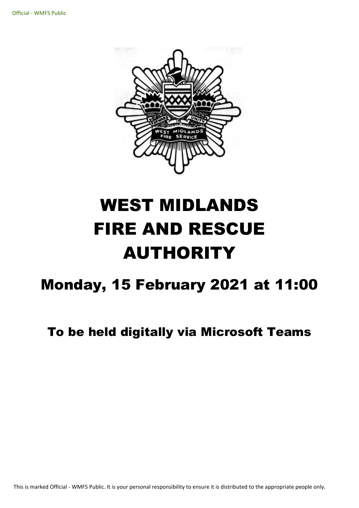

# WEST MIDLANDS FIRE AND RESCUE AUTHORITY

## Monday, 15 February 2021 at 11:00

## To be held digitally via Microsoft Teams

This is marked Official - WMFS Public. It is your personal responsibility to ensure it is distributed to the appropriate people only.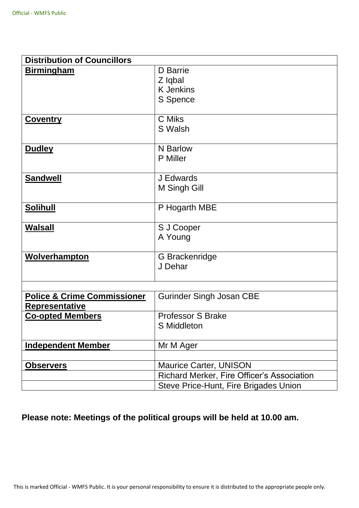| <b>Distribution of Councillors</b>                              |                                                                                                               |  |
|-----------------------------------------------------------------|---------------------------------------------------------------------------------------------------------------|--|
| <b>Birmingham</b>                                               | D Barrie<br>Z Iqbal<br><b>K</b> Jenkins<br>S Spence                                                           |  |
| <b>Coventry</b>                                                 | C Miks<br>S Walsh                                                                                             |  |
| <b>Dudley</b>                                                   | N Barlow<br><b>P</b> Miller                                                                                   |  |
| <b>Sandwell</b>                                                 | J Edwards<br>M Singh Gill                                                                                     |  |
| <b>Solihull</b>                                                 | P Hogarth MBE                                                                                                 |  |
| <b>Walsall</b>                                                  | S J Cooper<br>A Young                                                                                         |  |
| <b>Wolverhampton</b>                                            | G Brackenridge<br>J Dehar                                                                                     |  |
| <b>Police &amp; Crime Commissioner</b><br><b>Representative</b> | <b>Gurinder Singh Josan CBE</b>                                                                               |  |
| <b>Co-opted Members</b>                                         | <b>Professor S Brake</b><br>S Middleton                                                                       |  |
| <b>Independent Member</b>                                       | Mr M Ager                                                                                                     |  |
| <b>Observers</b>                                                | Maurice Carter, UNISON<br>Richard Merker, Fire Officer's Association<br>Steve Price-Hunt, Fire Brigades Union |  |

### **Please note: Meetings of the political groups will be held at 10.00 am.**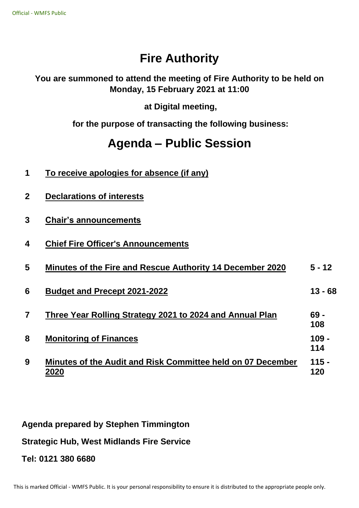## **Fire Authority**

#### **You are summoned to attend the meeting of Fire Authority to be held on Monday, 15 February 2021 at 11:00**

**at Digital meeting,**

**for the purpose of transacting the following business:**

## **Agenda – Public Session**

| 1                       | To receive apologies for absence (if any)                           |                |
|-------------------------|---------------------------------------------------------------------|----------------|
| $\mathbf{2}$            | <b>Declarations of interests</b>                                    |                |
| 3                       | <b>Chair's announcements</b>                                        |                |
| 4                       | <b>Chief Fire Officer's Announcements</b>                           |                |
| 5                       | Minutes of the Fire and Rescue Authority 14 December 2020           | $5 - 12$       |
| 6                       | <b>Budget and Precept 2021-2022</b>                                 | $13 - 68$      |
| $\overline{\mathbf{z}}$ | Three Year Rolling Strategy 2021 to 2024 and Annual Plan            | $69 -$<br>108  |
| 8                       | <b>Monitoring of Finances</b>                                       | $109 -$<br>114 |
| 9                       | Minutes of the Audit and Risk Committee held on 07 December<br>2020 | $115 -$<br>120 |

**Agenda prepared by Stephen Timmington**

**Strategic Hub, West Midlands Fire Service**

**Tel: 0121 380 6680**